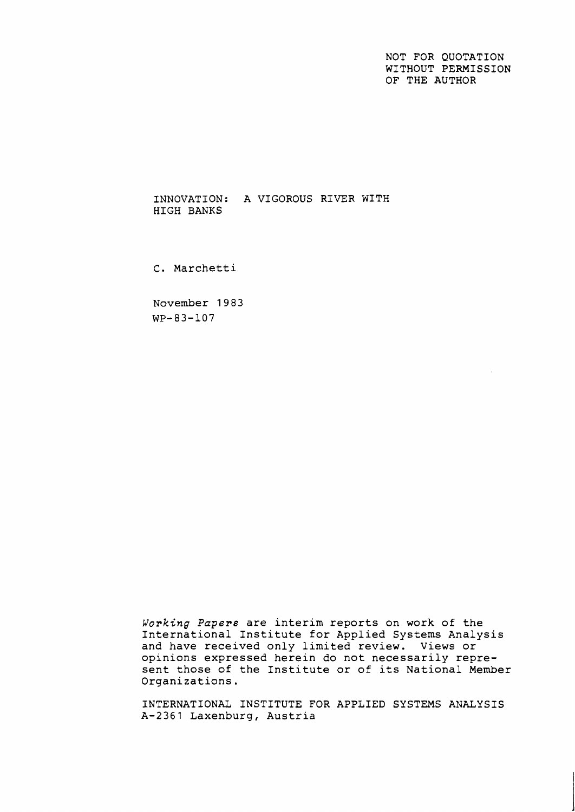NOT FOR QUOTATION WITHOUT PERMISSION OF THE AUTHOR

INNOVATION: A VIGOROUS RIVER WITH HIGH BANKS

C. Marchetti

November 1983 WP-83-107

Working Papers are interim reports on work of the International Institute for Applied Systems Analysis and have received only limited review. Views or opinions expressed herein do not necessarily represent those of the Institute or of its National Member Organizations.

INTERNATIONAL INSTITUTE FOR APPLIED SYSTEMS ANALYSIS A-2361 Laxenburg, Austria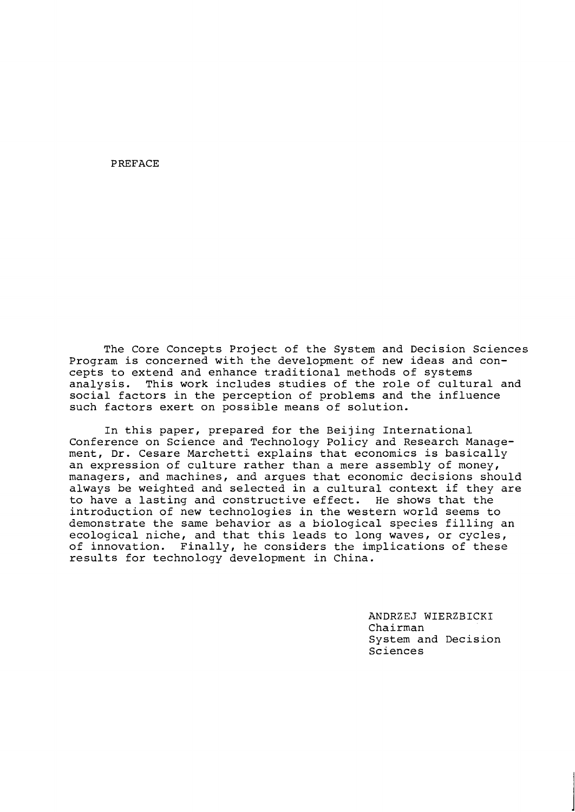PREFACE

The Core Concepts Project of the System and Decision Sciences Program is concerned with the development of new ideas and concepts to extend and enhance traditional methods of systems analysis. This work includes studies of the role of cultural and social factors in the perception of problems and the influence such factors exert on possible means of solution.

In this paper, prepared for the Beijing International Conference on Science and Technology Policy and Research Management, Dr. Cesare Marchetti explains that economics is basically an expression of culture rather than a mere assembly of money, managers, and machines, and argues that economic decisions should always be weighted and selected in a cultural context if they are<br>to have a lasting and constructive effect. He shows that the to have a lasting and constructive effect. introduction of new technologies in the western world seems to demonstrate the same behavior as a biological species filling an ecological niche, and that this leads to long waves, or cycles, of innovation. Finally, he considers the implications of these results for technology development in China.

> ANDRZEJ WIERZBICKI Chairman System and Decision Sciences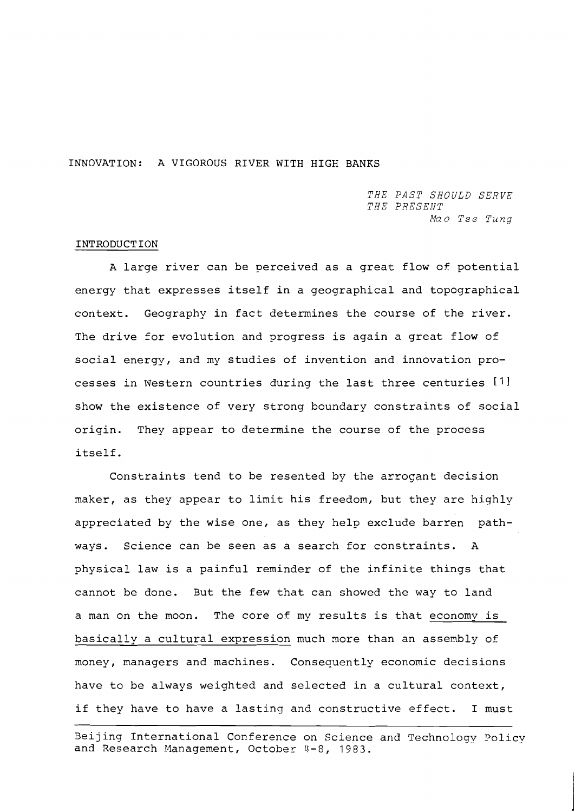## INNOVATION: A VIGOROUS RIVER WITH HIGH BANKS

*THE PAST SHOULD SERVE THE PRESENT*  Mao Tse Tung

### INTRODUCTION

A large river can be perceived as a great flow of potential energy that expresses itself in a geographical and topographical context. Geography in fact determines the course of the river. The drive for evolution and progress is again a great flow of social energy, and my studies of invention and innovation processes in Western countries during the last three centuries [I] show the existence of very strong boundary constraints of social origin. They appear to determine the course of the process itself.

Constraints tend to be resented by the arroqant decision maker, as they appear to limit his freedom, but they are highly appreciated by the wise one, as they help exclude barren pathways. Science can be seen as a search for constraints. A physical law is a painful reminder of the infinite things that cannot be done. But the few that can showed the way to land a man on the moon. The core of my results is that economy is basically a cultural expression much nore than an assembly of money, managers and machines. Consequently economic decisions have to be always weighted and selected in a cultural context, if they have to have a lasting and constructive effect. I must

Beijing International Conference on Science and Technology Policy and Research Management, October 4-8, 1983.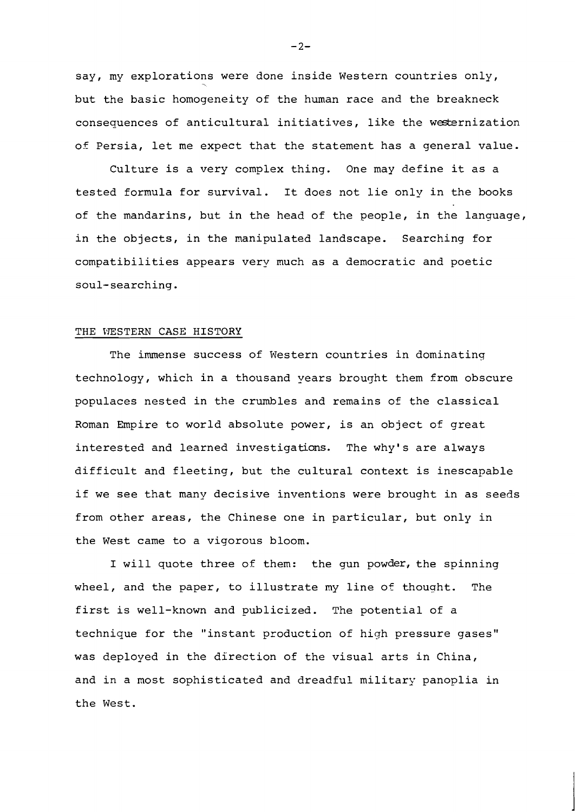say, my explorations were done inside Western countries only, but the basic homogeneity of the human race and the breakneck consequences of anticultural initiatives, like the westernization of Persia, let me expect that the statement has a general value.

Culture is a very complex thing. One may define it as a tested formula for survival. It does not lie only in the books of the mandarins, but in the head of the people, in the language, in the objects, in the manipulated landscape. Searching for compatibilities appears very much as a democratic and poetic soul-searching.

#### THE VESTERN CASE HISTORY

The immense success of Western countries in dominating technology, which in a thousand years brought them from obscure populaces nested in the crumbles and remains of the classical Roman Empire to world absolute power, is an object of great interested and learned investigations. The why's are always difficult and fleeting, but the cultural context is inescapable if we see that many decisive inventions were brought in as seeds from other areas, the Chinese one in particular, but only in the West came to a vigorous bloom.

I will quote three of them: the gun powder, the spinning wheel, and the paper, to illustrate my line of thought. The first is well-known and publicized. The potential of a technique for the "instant production of high pressure gases" was deployed in the direction of the visual arts in China, and in a most sophisticated and dreadful military panoplia in the West.

 $-2-$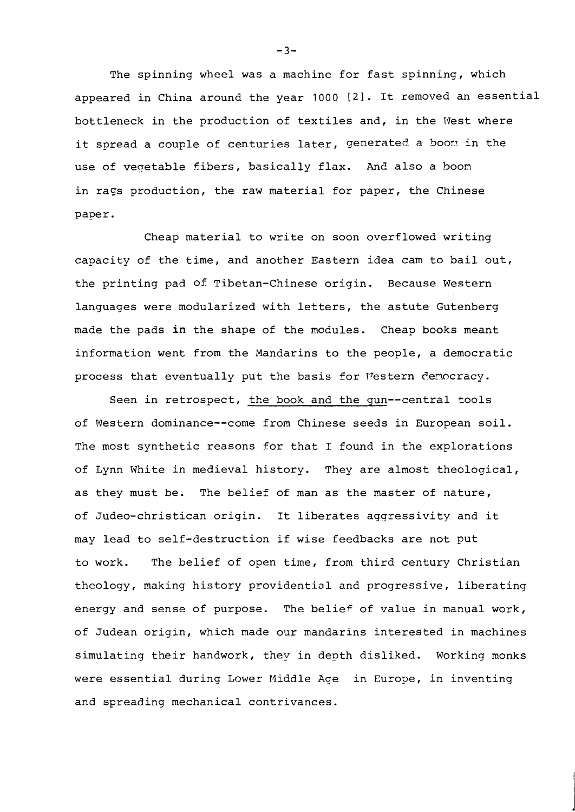The spinning wheel was a machine for fast spinning, which appeared in China around the year 1000 [2]. It removed an essential bottleneck in the production of textiles and, in the West where it spread a couple of centuries later, generated a boom in the use of veqetable fibers, basically flax. And also a boon in rags production, the raw material for paper, the Chinese paper .

Cheap material to write on soon overflowed writing capacity of the time, and another Eastern idea cam to bail out, the printing pad of Tibetan-Chinese origin. Because Western languages were modularized with letters, the astute Gutenberg made the pads in the shape of the modules. Cheap books meant information went from the Mandarins to the people, a democratic process that eventually put the basis for Western democracy.

Seen in retrospect, the book and the gun--central tools of Western dominance--come from Chinese seeds in European soil. The most synthetic reasons for that I found in the explorations of Lynn White in medieval history. They are almost theological, as they must be. The belief of man as the master of nature, of Judeo-christican origin. It liberates aggressivity and it may lead to self-destruction if wise feedbacks are not put to work. The belief of open time, from third century Christian theology, making history providential and progressive, liberating energy and sense of purpose. The belief of value in manual work, of Judean origin, which made our mandarins interested in machines simulating their handwork, they in depth disliked. Working monks were essential during Lower Middle Age in Europe, in inventing and spreading mechanical contrivances.

 $-3-$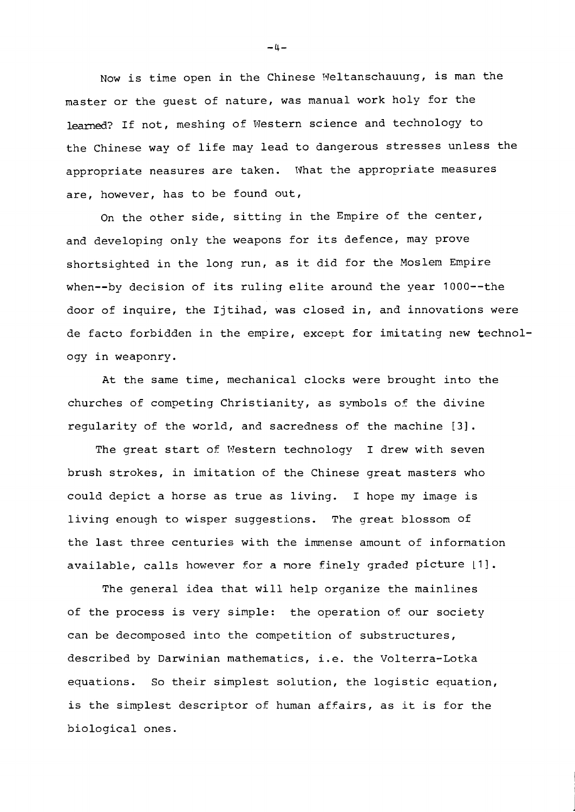Now is time open in the Chinese Meltanschauung, is man the master or the guest of nature, was manual work holy for the learned? If not, meshing of Western science and technology to the Chinese way of life may lead to dangerous stresses unless the appropriate neasures are taken. What the appropriate measures are, however, has to be found out,

On the other side, sitting in the Empire of the center, and developing only the weapons for its defence, may prove shortsighted in the long run, as it did for the Moslem Empire when--by decision of its ruling elite around the year 1000--the door of inquire, the Ijtihad, was closed in, and innovations were de facto forbidden in the empire, except for imitating new technology in weaponry.

At the same time, mechanical clocks were brought into the churches of competing Christianity, as symbols of the divine regularity of the warld, and sacredness of the machine **131.** 

The great start of Western technology I drew with seven brush strokes, in imitation of the Chinese great masters who could depict a horse as true as living. I hope my image is living enough to wisper suggestions. The great blossom of the last three centuries with the immense amount of information available, calls however for a more finely graded picture [1].

The general idea that will help organize the mainlines of the process is very simple: the operation of our society can be decomposed into the competition of substructures, described by Darwinian mathematics, i.e. the Volterra-Lotka equations. So their simplest solution, the logistic equation, is the simplest descriptor of human affairs, as it is for the biological ones.

 $-4-$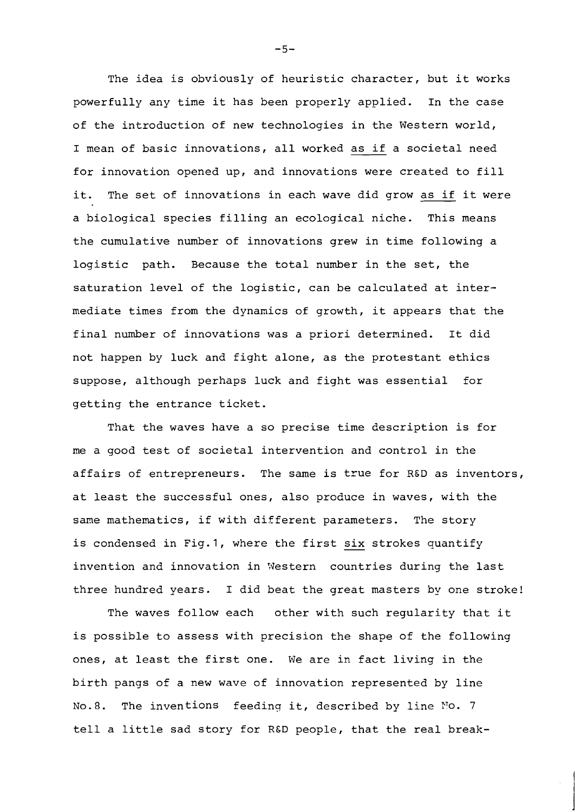The idea is obviously of heuristic character, but it works powerfully any time it has been properly applied. In the case of the introduction of new technologies in the Western world, I mean of basic innovations, all worked as if a societal need for innovation opened up, and innovations were created to fill it. The set of innovations in each wave did grow as if it were a biological species filling an ecological niche. This means the cumulative number of innovations grew in time following a logistic path. Because the total number in the set, the saturation level of the logistic, can be calculated at intermediate times from the dynamics of growth, it appears that the final number of innovations was a priori determined. It did not happen by luck and fight alone, as the protestant ethics suppose, although perhaps luck and fight was essential for getting the entrance ticket.

That the waves have a so precise time description is for me a good test of societal intervention and control in the affairs of entrepreneurs. The same is true for R&D as inventors, at least the successful ones, also produce in waves, with the<br>same mathematics, if with different parameters. The story<br>is condensed in Fig.1, where the first six strokes quantify same mathematics, if with different parameters. The story invention and innovation in Western countries during the last three hundred years. I did beat the great masters by one stroke!

The waves follow each other with such regularity that it is possible to assess with precision the shape of the following ones, at least the first one. We are in fact living in the birth pangs of a new wave of innovation represented by line No.8. The inventions feeding it, described by line No. 7 tell a little sad story for RED people, that the real break-

 $-5-$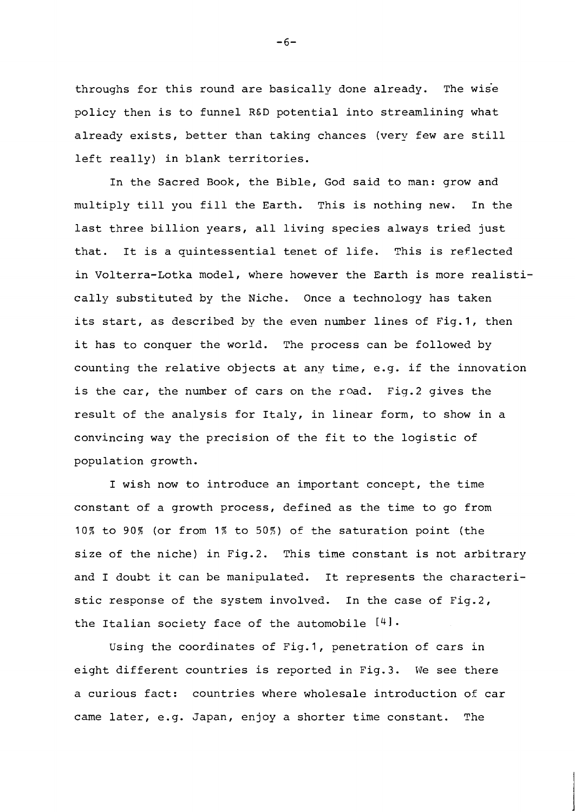throughs for this round are basically done already. The wise policy then is to funnel **RED** potential into streamlining what already exists, better than taking chances (very few are still left really) in blank territories.

In the Sacred Book, the Bible, God said to man: grow and multiply till you fill the Earth. This is nothing new. In the last three billion years, all living species always tried just that. It is a quintessential tenet of life. This is reflected in Volterra-Lotka model, where however the Earth is more realistically substituted by the Niche. Once a technology has taken its start, as described by the even number lines of Fig.1, then it has to conquer the world. The process can be followed by counting the relative objects at any time, e.g. if the innovation is the car, the number of cars on the road. Fig.2 gives the result of the analysis for Italy, in linear form, to show in a convincing way the precision of the fit to the logistic of population growth.

I wish now to introduce an important concept, the time constant of a growth process, defined as the time to go from 10% to 90% (or from 1% to 50%) of the saturation point (the size of the niche) in Fig.2. This time constant is not arbitrary and I doubt it can be manipulated. It represents the characteristic response of the system involved. In the case of Fig.2, the Italian society face of the automobile  $[4]$ .

Using the coordinates of Fig.1, penetration of cars in eight different countries is reported in Fig.3. We see there a curious fact: countries where wholesale introduction of car came later, e.g. Japan, enjoy a shorter time constant. The

 $-6-$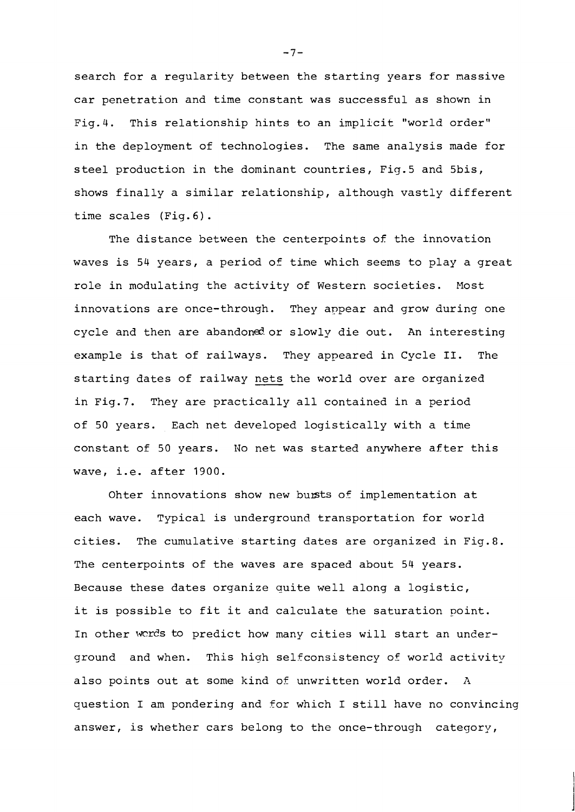search for a regularity between the starting years for nassive car penetration and time constant was successful as shown in Fig.4. This relationship hints to an implicit "world order" in the deployment of technologies. The same analysis made for steel production in the dominant countries, Fig.5 and 5bis, shows finally a similar relationship, although vastly different time scales (Fig. 6).

The distance between the centerpoints of the innovation waves is 54 years, a period of tine which seems to play a great role in modulating the activity of Western societies. Most innovations are once-through. They appear and grow during one cycle and then are abandoned or slowly die out. An interesting example is that of railways. They appeared in Cycle **11.** The starting dates of railway nets the world over are organized in Fig.7. They are practically all contained in a period of 50 years. Each net developed logistically with a time constant of 50 years. No net was started anywhere after this wave, i.e. after 1900.

Ohter innovations show new busts of implementation at each wave. Typical is underground transportation for world cities. The cumulative starting dates are organized in Fig.8. The centerpoints of the waves are spaced about 54 years. Because these dates organize quite well along a logistic, it is possible to fit it and calculate the saturation point. In other words to predict how many cities will start an underground and when. This high selfconsistency of world activity also points out at some kind of unwritten world order. A question I am pondering and for which I still have no convincing answer, is whether cars belong to the once-through category,

 $-7-$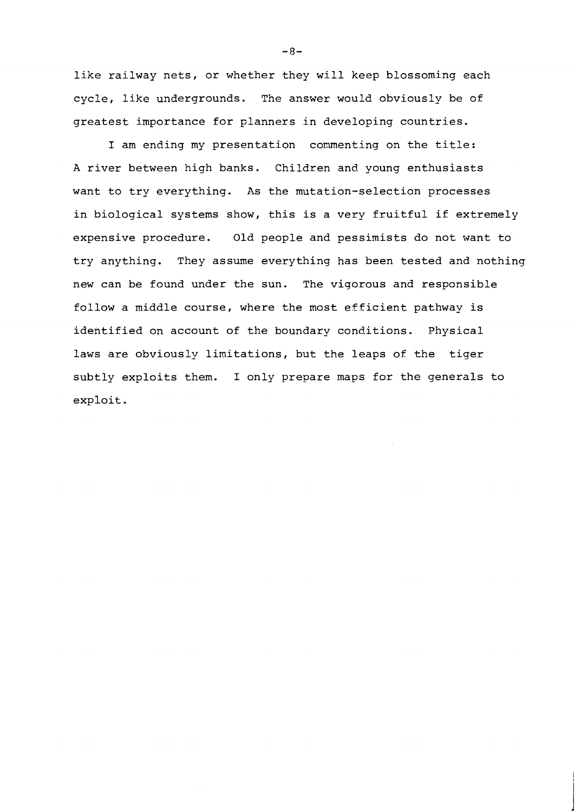like railway nets, or whether they will keep blossoming each cycle, like undergrounds. The answer would obviously be of greatest importance for planners in developing countries.

I am ending my presentation commenting on the title: A river between high banks. Children and young enthusiasts want to try everything. As the mutation-selection processes in biological systems show, this is a very fruitful if extremely expensive procedure. Old people and pessimists do not want to try anything. They assume everything has been tested and nothing new can be found under the sun. The vigorous and responsible follow a middle course, where the most efficient pathway is identified on account of the boundary conditions. Physical laws are obviously limitations, but the leaps of the tiger subtly exploits then. I only prepare maps for the generals to exploit.

**-8-**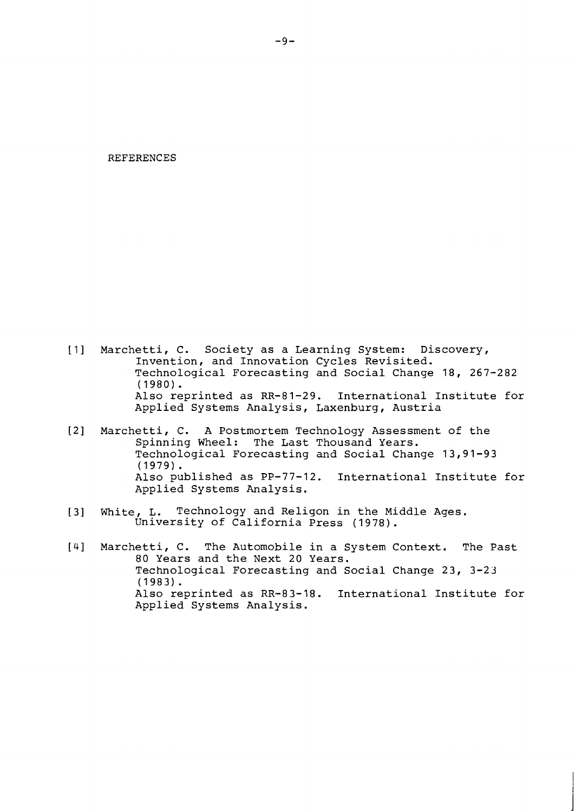#### REFERENCES

- [I] Marchetti, C. Society as a Learning System: Discovery, Invention, and Innovation Cycles Revisited. Technological Forecasting and Social Change 18, 267-282 (1980). Also reprinted as RR-81-29. International Institute for Applied Systems Analysis, Laxenburg, Austria
- [2] Marchetti, C. A Postmortem Technology Assessment of the Spinning Wheel: The Last Thousand Years. Technological Forecasting and Social Change 13,91-93 (1979) . Also published as PP-77-12. International Institute for Applied Systems Analysis.
- [3] White, L. Technology and Religon in the Middle Ages. University of California Press (1978).
- [4] Marchetti, C. The Automobile in a System Context. The Past 80 Years and the Next 20 Years. Technological Forecasting and Social Change 23, 3-23 (1983). Also reprinted as RR-83-18. International Institute for Applied Systems Analysis.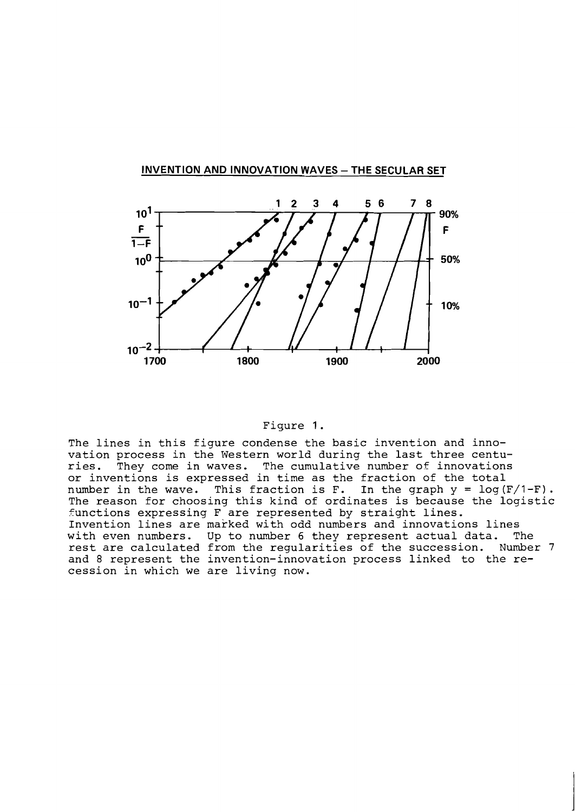

# **INVENTION AND INNOVATION WAVES - THE SECULAR SET**

### Figure 1.

The lines in this figure condense the basic invention and innovation process in the Western world during the last three centuries. They come in waves. The cumulative number of innovations or inventions is expressed in time as the fraction of the total number in the wave. This fraction is F. In the graph  $y = log(F/1-F)$ . The reason for choosing this kind of ordinates is because the logistic  $f$ unctions expressing F are represented by straight lines. Invention lines are marked with odd numbers and innovations lines with even numbers. Up to number 6 they represent actual data. The rest are calculated from the regularities of the succession. Number 7 and 8 represent the invention-innovation process linked to the recession in which we are living now.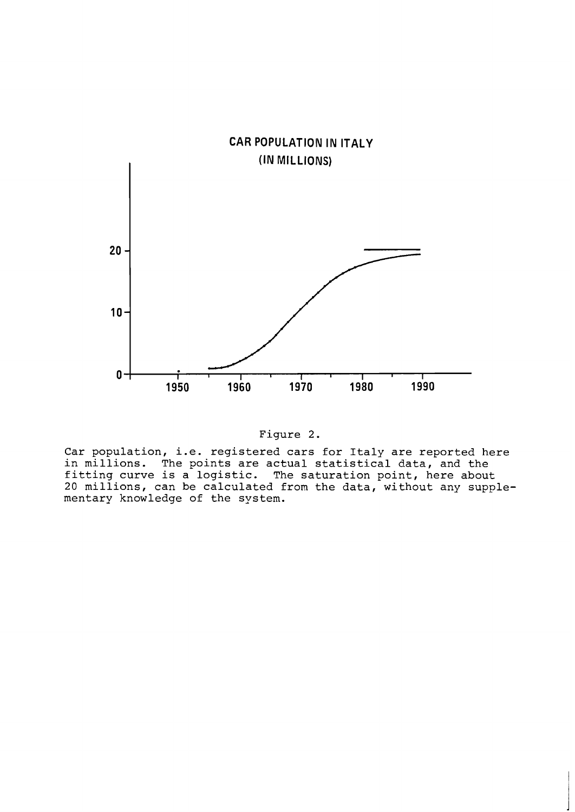



**Car population, i.e. registered cars for Italy are reported here in millions. The points are actual statistical data, and the fitting curve is a logistic. The saturation point, here about 20 millions, can be calculated from the data, without any supplementary knowledge of the system.**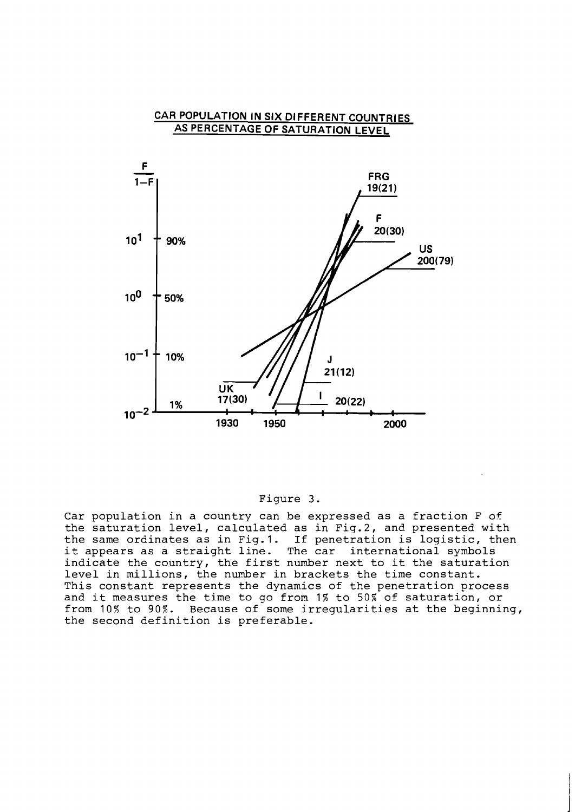

### Figure 3.

Car population in a country can be expressed as a fraction F of the saturation level, calculated as in Fig.2, and presented with the same ordinates as in Fig.1. If penetration is logistic, then it appears as a straight line. The car international symbols indicate the country, the first number next to it the saturation level in millions, the number in brackets the time constant. This constant represents the dynamics of the penetration process and it measures the time to go from 1% to 50% of saturation, or from 10% to 90%. Because of some irregularities at the beginning, the second definition is preferable.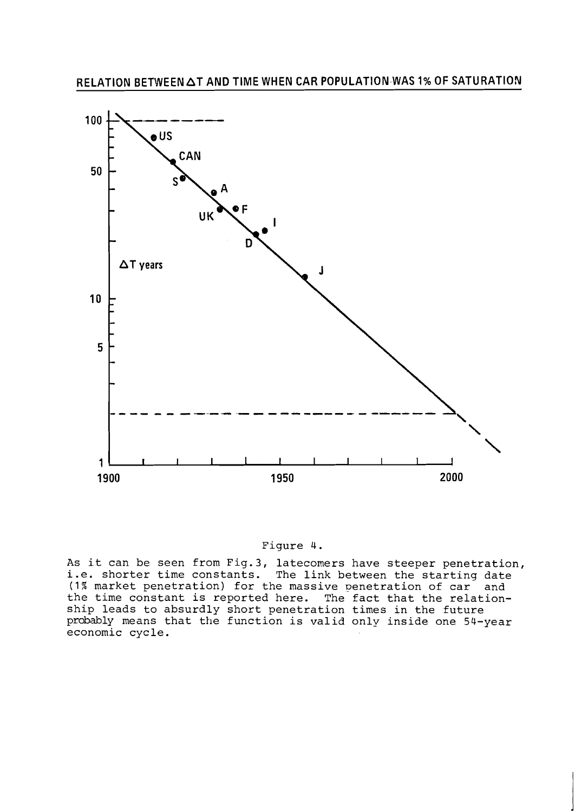

### Figure 4.

As it can be seen from Fig.3, latecomers have steeper penetration, i.e. shorter time constants. The link between the starting date (1% market penetration) for the massive penetration of car and the time constant is reported here. The fact that the relationship leads to absurdly short penetration times in the future probably means that the function is valid only inside one 54-year economic cycle.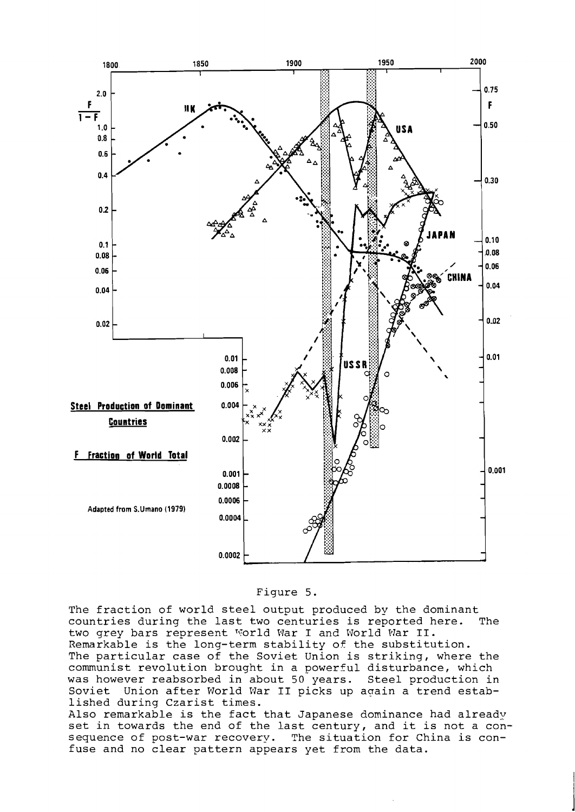



The fraction of world steel output produced by the dominant<br>countries during the last two centuries is reported here. The countries during the last two centuries is reported here. two grey bars represent World War I and World War II. Remarkable is the long-term stability of the substitution. The particular case of the Soviet Union is striking, where the communist revolution brought in a powerful disturbance, which was however reabsorbed in about 50 years. Steel production in Soviet Union after World War **I1** picks up aqain a trend established during Czarist times.

Also remarkable is the fact that Japanese dominance had already set in towards the end of the last century, and it is not a consequence of post-war recovery. The situation for China is confuse and no clear pattern appears yet from the data.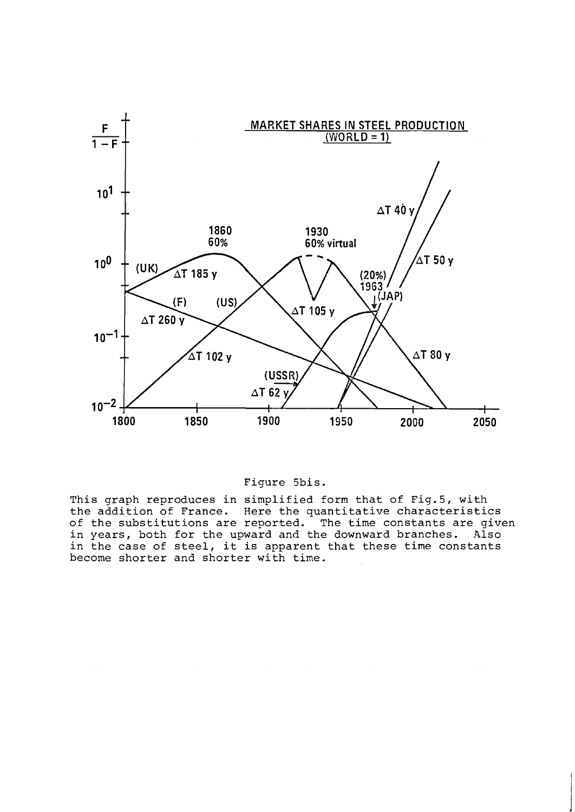

### Figure 5bis.

This graph reproduces in simplified form that of Fig.5, with the addition of France. Here the quantitative characteristics of the substitutions are reported. The time constants are given in years, both for the upward and the downward branches. Also in the case of steel, it is apparent that these time constants become shorter and shorter with time.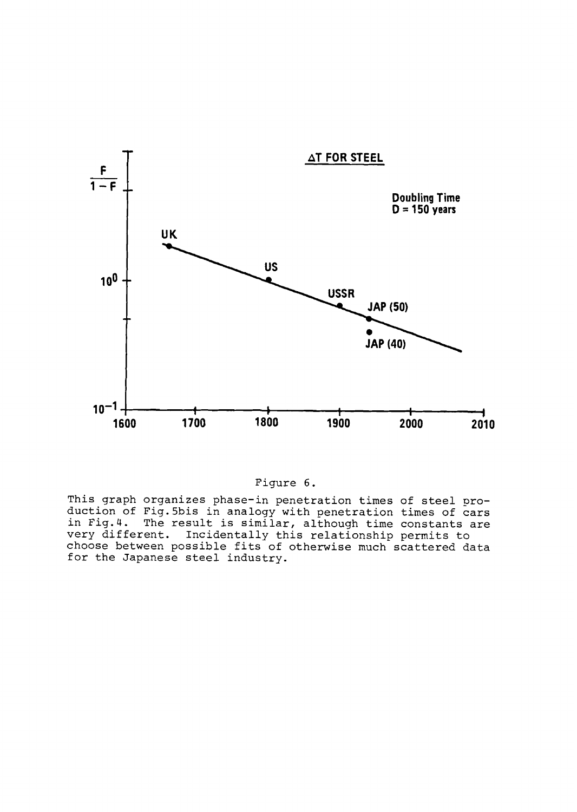

## Figure 6.

This graph organizes phase-in penetration times of steel proluction of Fig.5bis in analogy with penetration times of cars in F The result is similar, although time constants are very different. Incidentally this relationship permits to choose between possible fits of otherwise much scattered data for the Japanese steel industry.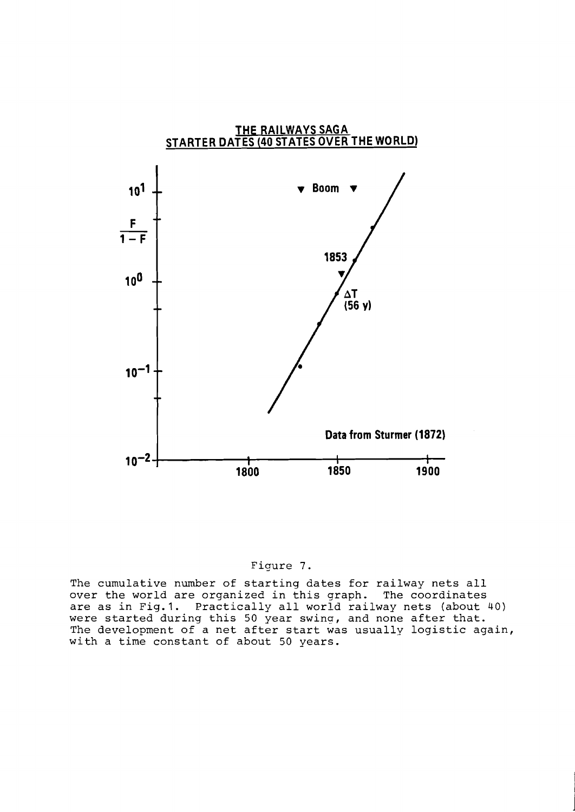



The cumulative number of starting dates for railway nets all over the world are organized in this graph. The coordinates are as in Fig.1. Practically all world railway nets (about 40) were started during this 50 year swing, and none after that. The development of a net after start was usually logistic again, with a time constant of about 50 years.